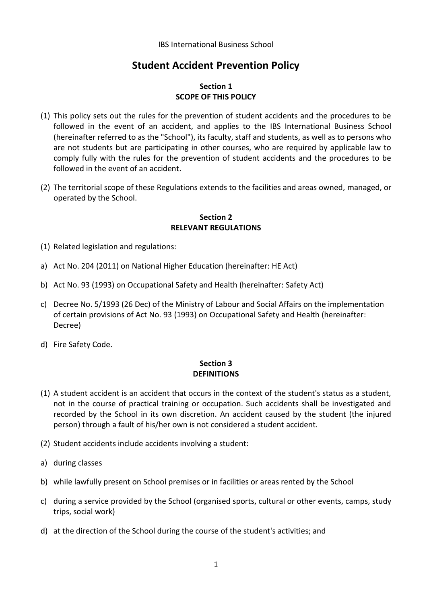# **Student Accident Prevention Policy**

## **Section 1 SCOPE OF THIS POLICY**

- (1) This policy sets out the rules for the prevention of student accidents and the procedures to be followed in the event of an accident, and applies to the IBS International Business School (hereinafter referred to as the "School"), its faculty, staff and students, as well as to persons who are not students but are participating in other courses, who are required by applicable law to comply fully with the rules for the prevention of student accidents and the procedures to be followed in the event of an accident.
- (2) The territorial scope of these Regulations extends to the facilities and areas owned, managed, or operated by the School.

#### **Section 2 RELEVANT REGULATIONS**

- (1) Related legislation and regulations:
- a) Act No. 204 (2011) on National Higher Education (hereinafter: HE Act)
- b) Act No. 93 (1993) on Occupational Safety and Health (hereinafter: Safety Act)
- c) Decree No. 5/1993 (26 Dec) of the Ministry of Labour and Social Affairs on the implementation of certain provisions of Act No. 93 (1993) on Occupational Safety and Health (hereinafter: Decree)
- d) Fire Safety Code.

## **Section 3 DEFINITIONS**

- (1) A student accident is an accident that occurs in the context of the student's status as a student, not in the course of practical training or occupation. Such accidents shall be investigated and recorded by the School in its own discretion. An accident caused by the student (the injured person) through a fault of his/her own is not considered a student accident.
- (2) Student accidents include accidents involving a student:
- a) during classes
- b) while lawfully present on School premises or in facilities or areas rented by the School
- c) during a service provided by the School (organised sports, cultural or other events, camps, study trips, social work)
- d) at the direction of the School during the course of the student's activities; and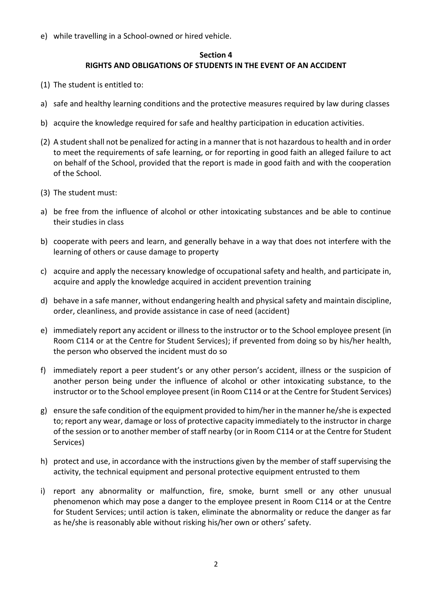e) while travelling in a School-owned or hired vehicle.

## **Section 4 RIGHTS AND OBLIGATIONS OF STUDENTS IN THE EVENT OF AN ACCIDENT**

- (1) The student is entitled to:
- a) safe and healthy learning conditions and the protective measures required by law during classes
- b) acquire the knowledge required for safe and healthy participation in education activities.
- (2) A student shall not be penalized for acting in a manner that is not hazardous to health and in order to meet the requirements of safe learning, or for reporting in good faith an alleged failure to act on behalf of the School, provided that the report is made in good faith and with the cooperation of the School.
- (3) The student must:
- a) be free from the influence of alcohol or other intoxicating substances and be able to continue their studies in class
- b) cooperate with peers and learn, and generally behave in a way that does not interfere with the learning of others or cause damage to property
- c) acquire and apply the necessary knowledge of occupational safety and health, and participate in, acquire and apply the knowledge acquired in accident prevention training
- d) behave in a safe manner, without endangering health and physical safety and maintain discipline, order, cleanliness, and provide assistance in case of need (accident)
- e) immediately report any accident or illness to the instructor or to the School employee present (in Room C114 or at the Centre for Student Services); if prevented from doing so by his/her health, the person who observed the incident must do so
- f) immediately report a peer student's or any other person's accident, illness or the suspicion of another person being under the influence of alcohol or other intoxicating substance, to the instructor or to the School employee present (in Room C114 or at the Centre for Student Services)
- g) ensure the safe condition of the equipment provided to him/her in the manner he/she is expected to; report any wear, damage or loss of protective capacity immediately to the instructor in charge of the session or to another member of staff nearby (or in Room C114 or at the Centre for Student Services)
- h) protect and use, in accordance with the instructions given by the member of staff supervising the activity, the technical equipment and personal protective equipment entrusted to them
- i) report any abnormality or malfunction, fire, smoke, burnt smell or any other unusual phenomenon which may pose a danger to the employee present in Room C114 or at the Centre for Student Services; until action is taken, eliminate the abnormality or reduce the danger as far as he/she is reasonably able without risking his/her own or others' safety.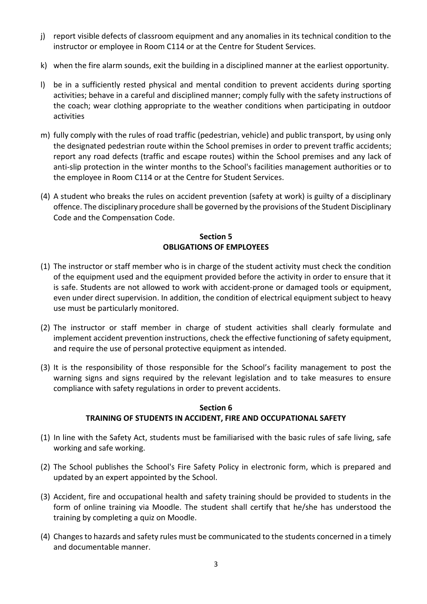- j) report visible defects of classroom equipment and any anomalies in its technical condition to the instructor or employee in Room C114 or at the Centre for Student Services.
- k) when the fire alarm sounds, exit the building in a disciplined manner at the earliest opportunity.
- l) be in a sufficiently rested physical and mental condition to prevent accidents during sporting activities; behave in a careful and disciplined manner; comply fully with the safety instructions of the coach; wear clothing appropriate to the weather conditions when participating in outdoor activities
- m) fully comply with the rules of road traffic (pedestrian, vehicle) and public transport, by using only the designated pedestrian route within the School premises in order to prevent traffic accidents; report any road defects (traffic and escape routes) within the School premises and any lack of anti-slip protection in the winter months to the School's facilities management authorities or to the employee in Room C114 or at the Centre for Student Services.
- (4) A student who breaks the rules on accident prevention (safety at work) is guilty of a disciplinary offence. The disciplinary procedure shall be governed by the provisions of the Student Disciplinary Code and the Compensation Code.

# **Section 5 OBLIGATIONS OF EMPLOYEES**

- (1) The instructor or staff member who is in charge of the student activity must check the condition of the equipment used and the equipment provided before the activity in order to ensure that it is safe. Students are not allowed to work with accident-prone or damaged tools or equipment, even under direct supervision. In addition, the condition of electrical equipment subject to heavy use must be particularly monitored.
- (2) The instructor or staff member in charge of student activities shall clearly formulate and implement accident prevention instructions, check the effective functioning of safety equipment, and require the use of personal protective equipment as intended.
- (3) It is the responsibility of those responsible for the School's facility management to post the warning signs and signs required by the relevant legislation and to take measures to ensure compliance with safety regulations in order to prevent accidents.

## **Section 6 TRAINING OF STUDENTS IN ACCIDENT, FIRE AND OCCUPATIONAL SAFETY**

- (1) In line with the Safety Act, students must be familiarised with the basic rules of safe living, safe working and safe working.
- (2) The School publishes the School's Fire Safety Policy in electronic form, which is prepared and updated by an expert appointed by the School.
- (3) Accident, fire and occupational health and safety training should be provided to students in the form of online training via Moodle. The student shall certify that he/she has understood the training by completing a quiz on Moodle.
- (4) Changes to hazards and safety rules must be communicated to the students concerned in a timely and documentable manner.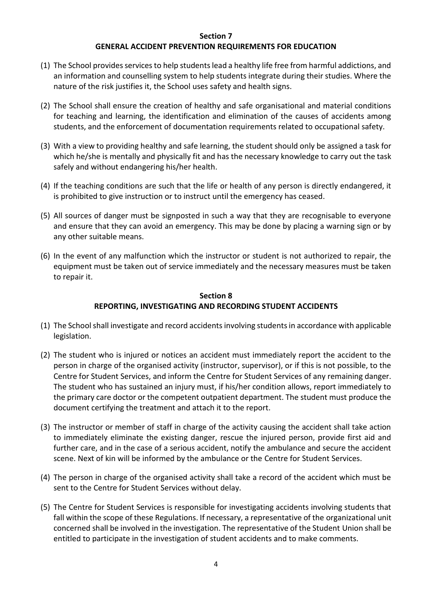#### **Section 7 GENERAL ACCIDENT PREVENTION REQUIREMENTS FOR EDUCATION**

- (1) The School provides services to help students lead a healthy life free from harmful addictions, and an information and counselling system to help students integrate during their studies. Where the nature of the risk justifies it, the School uses safety and health signs.
- (2) The School shall ensure the creation of healthy and safe organisational and material conditions for teaching and learning, the identification and elimination of the causes of accidents among students, and the enforcement of documentation requirements related to occupational safety.
- (3) With a view to providing healthy and safe learning, the student should only be assigned a task for which he/she is mentally and physically fit and has the necessary knowledge to carry out the task safely and without endangering his/her health.
- (4) If the teaching conditions are such that the life or health of any person is directly endangered, it is prohibited to give instruction or to instruct until the emergency has ceased.
- (5) All sources of danger must be signposted in such a way that they are recognisable to everyone and ensure that they can avoid an emergency. This may be done by placing a warning sign or by any other suitable means.
- (6) In the event of any malfunction which the instructor or student is not authorized to repair, the equipment must be taken out of service immediately and the necessary measures must be taken to repair it.

## **Section 8 REPORTING, INVESTIGATING AND RECORDING STUDENT ACCIDENTS**

- (1) The Schoolshall investigate and record accidents involving students in accordance with applicable legislation.
- (2) The student who is injured or notices an accident must immediately report the accident to the person in charge of the organised activity (instructor, supervisor), or if this is not possible, to the Centre for Student Services, and inform the Centre for Student Services of any remaining danger. The student who has sustained an injury must, if his/her condition allows, report immediately to the primary care doctor or the competent outpatient department. The student must produce the document certifying the treatment and attach it to the report.
- (3) The instructor or member of staff in charge of the activity causing the accident shall take action to immediately eliminate the existing danger, rescue the injured person, provide first aid and further care, and in the case of a serious accident, notify the ambulance and secure the accident scene. Next of kin will be informed by the ambulance or the Centre for Student Services.
- (4) The person in charge of the organised activity shall take a record of the accident which must be sent to the Centre for Student Services without delay.
- (5) The Centre for Student Services is responsible for investigating accidents involving students that fall within the scope of these Regulations. If necessary, a representative of the organizational unit concerned shall be involved in the investigation. The representative of the Student Union shall be entitled to participate in the investigation of student accidents and to make comments.